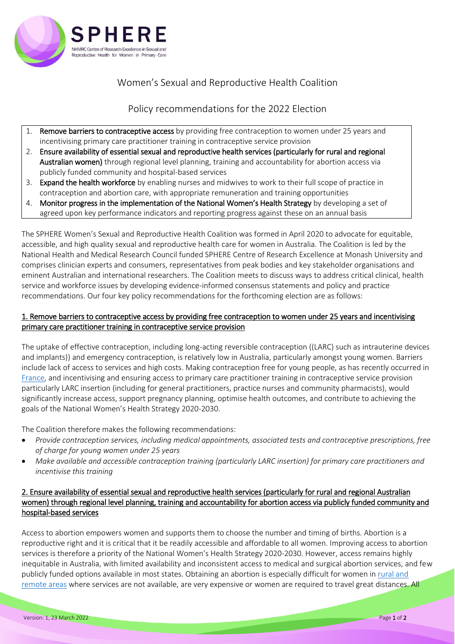

# Women's Sexual and Reproductive Health Coalition

## Policy recommendations for the 2022 Election

- 1. Remove barriers to contraceptive access by providing free contraception to women under 25 years and incentivising primary care practitioner training in contraceptive service provision
- 2. Ensure availability of essential sexual and reproductive health services (particularly for rural and regional Australian women) through regional level planning, training and accountability for abortion access via publicly funded community and hospital-based services
- 3. Expand the health workforce by enabling nurses and midwives to work to their full scope of practice in contraception and abortion care, with appropriate remuneration and training opportunities
- 4. Monitor progress in the implementation of the National Women's Health Strategy by developing a set of agreed upon key performance indicators and reporting progress against these on an annual basis

The SPHERE Women's Sexual and Reproductive Health Coalition was formed in April 2020 to advocate for equitable, accessible, and high quality sexual and reproductive health care for women in Australia. The Coalition is led by the National Health and Medical Research Council funded SPHERE Centre of Research Excellence at Monash University and comprises clinician experts and consumers, representatives from peak bodies and key stakeholder organisations and eminent Australian and international researchers. The Coalition meets to discuss ways to address critical clinical, health service and workforce issues by developing evidence-informed consensus statements and policy and practice recommendations. Our four key policy recommendations for the forthcoming election are as follows:

### 1. Remove barriers to contraceptive access by providing free contraception to women under 25 years and incentivising primary care practitioner training in contraceptive service provision

The uptake of effective contraception, including long-acting reversible contraception ((LARC) such as intrauterine devices and implants)) and emergency contraception, is relatively low in Australia, particularly amongst young women. Barriers include lack of access to services and high costs. Making contraception free for young people, as has recently occurred in [France,](https://www.theguardian.com/world/2021/sep/09/france-free-contraception-women) and incentivising and ensuring access to primary care practitioner training in contraceptive service provision particularly LARC insertion (including for general practitioners, practice nurses and community pharmacists), would significantly increase access, support pregnancy planning, optimise health outcomes, and contribute to achieving the goals of the National Women's Health Strategy 2020-2030.

The Coalition therefore makes the following recommendations:

- *Provide contraception services, including medical appointments, associated tests and contraceptive prescriptions, free of charge for young women under 25 years*
- *Make available and accessible contraception training (particularly LARC insertion) for primary care practitioners and incentivise this training*

#### 2. Ensure availability of essential sexual and reproductive health services (particularly for rural and regional Australian women) through regional level planning, training and accountability for abortion access via publicly funded community and hospital-based services

Access to abortion empowers women and supports them to choose the number and timing of births. Abortion is a reproductive right and it is critical that it be readily accessible and affordable to all women. Improving access to abortion services is therefore a priority of the National Women's Health Strategy 2020-2030. However, access remains highly inequitable in Australia, with limited availability and inconsistent access to medical and surgical abortion services, and few publicly funded options available in most states. Obtaining an abortion is especially difficult for women i[n rural and](https://www.spherecre.org/_files/ugd/410f2f_c74dfa1ebba74696a9190cee2f26fd1f.pdf)  [remote areas](https://www.spherecre.org/_files/ugd/410f2f_c74dfa1ebba74696a9190cee2f26fd1f.pdf) where services are not available, are very expensive or women are required to travel great distances. All